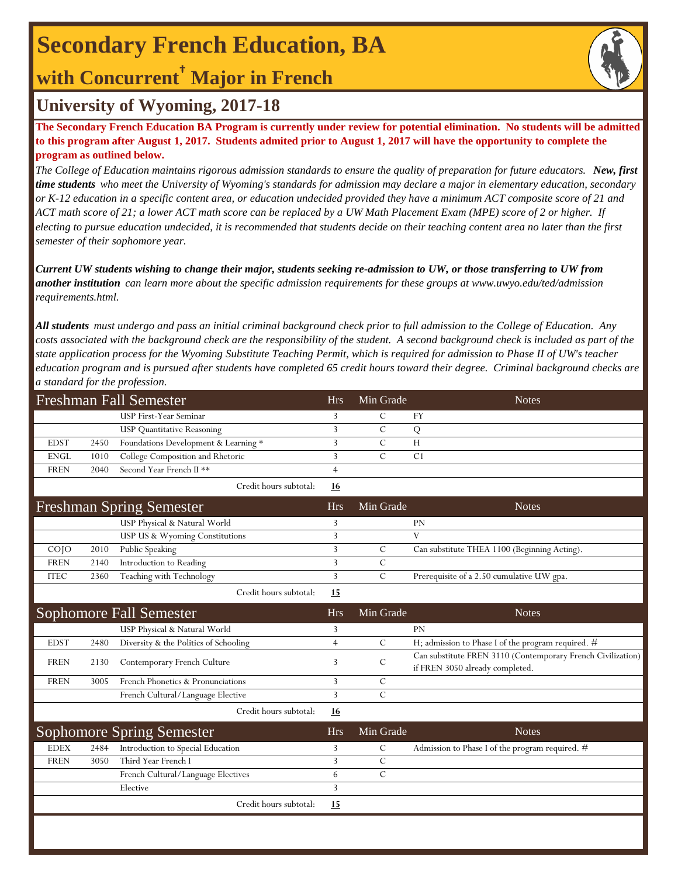## **Secondary French Education, BA**

## **with Concurrent† Major in French**



### **University of Wyoming, 2017-18**

**The Secondary French Education BA Program is currently under review for potential elimination. No students will be admitted to this program after August 1, 2017. Students admited prior to August 1, 2017 will have the opportunity to complete the program as outlined below.**

*The College of Education maintains rigorous admission standards to ensure the quality of preparation for future educators. New, first time students who meet the University of Wyoming's standards for admission may declare a major in elementary education, secondary or K-12 education in a specific content area, or education undecided provided they have a minimum ACT composite score of 21 and ACT math score of 21; a lower ACT math score can be replaced by a UW Math Placement Exam (MPE) score of 2 or higher. If electing to pursue education undecided, it is recommended that students decide on their teaching content area no later than the first semester of their sophomore year.*

*Current UW students wishing to change their major, students seeking re-admission to UW, or those transferring to UW from another institution can learn more about the specific admission requirements for these groups at www.uwyo.edu/ted/admission requirements.html.* 

*All students must undergo and pass an initial criminal background check prior to full admission to the College of Education. Any costs associated with the background check are the responsibility of the student. A second background check is included as part of the state application process for the Wyoming Substitute Teaching Permit, which is required for admission to Phase II of UW's teacher education program and is pursued after students have completed 65 credit hours toward their degree. Criminal background checks are a standard for the profession.*

| <b>Freshman Fall Semester</b> |      |                                       | <b>Hrs</b>     | Min Grade     | <b>Notes</b>                                                                                   |
|-------------------------------|------|---------------------------------------|----------------|---------------|------------------------------------------------------------------------------------------------|
|                               |      | <b>USP First-Year Seminar</b>         | 3              | $\mathcal{C}$ | FY                                                                                             |
|                               |      | <b>USP Quantitative Reasoning</b>     | 3              | $\mathcal{C}$ | Q                                                                                              |
| <b>EDST</b>                   | 2450 | Foundations Development & Learning *  | 3              | $\mathcal{C}$ | H                                                                                              |
| <b>ENGL</b>                   | 1010 | College Composition and Rhetoric      | 3              | $\mathcal{C}$ | C <sub>1</sub>                                                                                 |
| <b>FREN</b>                   | 2040 | Second Year French II **              | $\overline{4}$ |               |                                                                                                |
|                               |      | Credit hours subtotal:                | 16             |               |                                                                                                |
|                               |      | <b>Freshman Spring Semester</b>       | <b>Hrs</b>     | Min Grade     | <b>Notes</b>                                                                                   |
|                               |      | USP Physical & Natural World          | 3              |               | PN                                                                                             |
|                               |      | USP US & Wyoming Constitutions        | $\overline{3}$ |               | V                                                                                              |
| $CO$ $JO$                     | 2010 | Public Speaking                       | $\overline{3}$ | $\mathcal{C}$ | Can substitute THEA 1100 (Beginning Acting).                                                   |
| <b>FREN</b>                   | 2140 | Introduction to Reading               | 3              | $\mathcal{C}$ |                                                                                                |
| <b>ITEC</b>                   | 2360 | Teaching with Technology              | 3              | $\mathcal{C}$ | Prerequisite of a 2.50 cumulative UW gpa.                                                      |
|                               |      | Credit hours subtotal:                | 15             |               |                                                                                                |
|                               |      | <b>Sophomore Fall Semester</b>        | <b>Hrs</b>     | Min Grade     | <b>Notes</b>                                                                                   |
|                               |      | USP Physical & Natural World          | 3              |               | <b>PN</b>                                                                                      |
| <b>EDST</b>                   | 2480 | Diversity & the Politics of Schooling | $\overline{4}$ | $\mathcal{C}$ | H; admission to Phase I of the program required. #                                             |
| <b>FREN</b>                   | 2130 | Contemporary French Culture           | 3              | C             | Can substitute FREN 3110 (Contemporary French Civilization)<br>if FREN 3050 already completed. |
| <b>FREN</b>                   | 3005 | French Phonetics & Pronunciations     | 3              | $\mathcal{C}$ |                                                                                                |
|                               |      | French Cultural/Language Elective     | 3              | $\mathcal{C}$ |                                                                                                |
|                               |      | Credit hours subtotal:                | 16             |               |                                                                                                |
|                               |      | <b>Sophomore Spring Semester</b>      | <b>Hrs</b>     | Min Grade     | <b>Notes</b>                                                                                   |
| <b>EDEX</b>                   | 2484 | Introduction to Special Education     | 3              | $\mathcal{C}$ | Admission to Phase I of the program required. #                                                |
| <b>FREN</b>                   | 3050 | Third Year French I                   | 3              | $\mathbf C$   |                                                                                                |
|                               |      | French Cultural/Language Electives    | 6              | $\mathcal{C}$ |                                                                                                |
|                               |      | Elective                              | 3              |               |                                                                                                |
|                               |      | Credit hours subtotal:                | 15             |               |                                                                                                |
|                               |      |                                       |                |               |                                                                                                |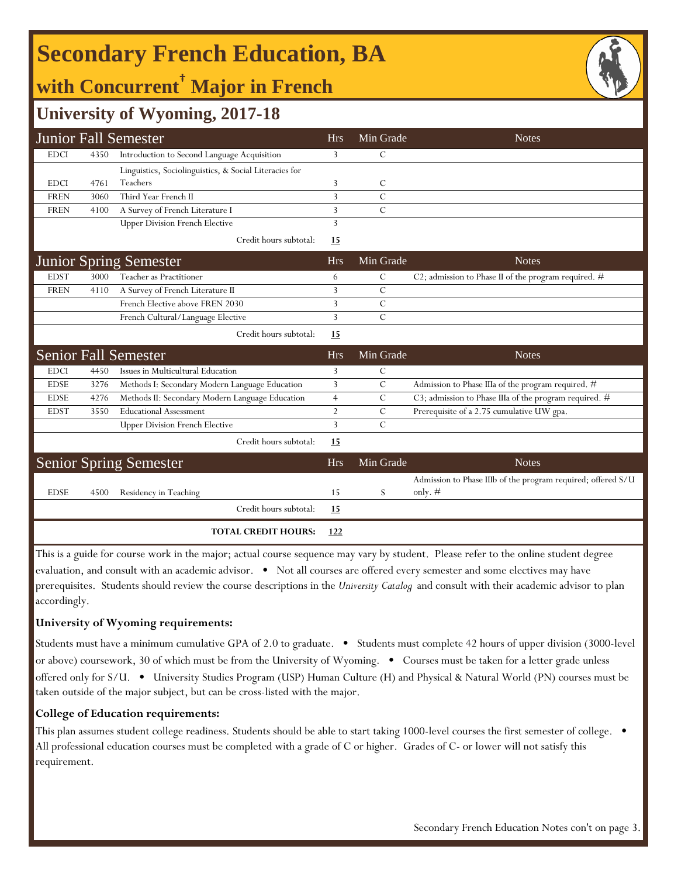## **Secondary French Education, BA**

## **with Concurrent† Major in French**



### **University of Wyoming, 2017-18**

|                               |      | <b>Junior Fall Semester</b>                            | <b>Hrs</b>     | Min Grade     | <b>Notes</b>                                                              |
|-------------------------------|------|--------------------------------------------------------|----------------|---------------|---------------------------------------------------------------------------|
| <b>EDCI</b>                   | 4350 | Introduction to Second Language Acquisition            | 3              | С             |                                                                           |
|                               |      | Linguistics, Sociolinguistics, & Social Literacies for |                |               |                                                                           |
| <b>EDCI</b>                   | 4761 | Teachers                                               | 3              | С             |                                                                           |
| <b>FREN</b>                   | 3060 | Third Year French II                                   | 3              | $\mathcal{C}$ |                                                                           |
| <b>FREN</b>                   | 4100 | A Survey of French Literature I                        | 3              | $\mathcal{C}$ |                                                                           |
|                               |      | <b>Upper Division French Elective</b>                  | 3              |               |                                                                           |
|                               |      | Credit hours subtotal:                                 | 15             |               |                                                                           |
|                               |      | <b>Junior Spring Semester</b>                          | <b>Hrs</b>     | Min Grade     | <b>Notes</b>                                                              |
| <b>EDST</b>                   | 3000 | Teacher as Practitioner                                | 6              | С             | C2; admission to Phase II of the program required. $#$                    |
| <b>FREN</b>                   | 4110 | A Survey of French Literature II                       | 3              | $\mathcal{C}$ |                                                                           |
|                               |      | French Elective above FREN 2030                        | 3              | C             |                                                                           |
|                               |      | French Cultural/Language Elective                      | 3              | $\mathcal{C}$ |                                                                           |
|                               |      | Credit hours subtotal:                                 | 15             |               |                                                                           |
|                               |      | <b>Senior Fall Semester</b>                            | <b>Hrs</b>     | Min Grade     | <b>Notes</b>                                                              |
| <b>EDCI</b>                   | 4450 | Issues in Multicultural Education                      | 3              | С             |                                                                           |
| <b>EDSE</b>                   | 3276 | Methods I: Secondary Modern Language Education         | 3              | $\mathcal{C}$ | Admission to Phase IIIa of the program required. $\#$                     |
| <b>EDSE</b>                   | 4276 | Methods II: Secondary Modern Language Education        | $\overline{4}$ | C             | C3; admission to Phase IIIa of the program required. #                    |
| <b>EDST</b>                   | 3550 | <b>Educational Assessment</b>                          | $\overline{2}$ | C             | Prerequisite of a 2.75 cumulative UW gpa.                                 |
|                               |      | <b>Upper Division French Elective</b>                  | 3              | $\mathcal{C}$ |                                                                           |
|                               |      | Credit hours subtotal:                                 | 15             |               |                                                                           |
| <b>Senior Spring Semester</b> |      |                                                        | <b>Hrs</b>     | Min Grade     | <b>Notes</b>                                                              |
| <b>EDSE</b>                   | 4500 | Residency in Teaching                                  | 15             | S             | Admission to Phase IIIb of the program required; offered S/U<br>only. $#$ |
|                               |      | Credit hours subtotal:                                 | 15             |               |                                                                           |
|                               |      | <b>TOTAL CREDIT HOURS:</b>                             | <u>122</u>     |               |                                                                           |

This is a guide for course work in the major; actual course sequence may vary by student. Please refer to the online student degree evaluation, and consult with an academic advisor. • Not all courses are offered every semester and some electives may have prerequisites. Students should review the course descriptions in the *University Catalog* and consult with their academic advisor to plan accordingly.

#### **University of Wyoming requirements:**

Students must have a minimum cumulative GPA of 2.0 to graduate. • Students must complete 42 hours of upper division (3000-level or above) coursework, 30 of which must be from the University of Wyoming. • Courses must be taken for a letter grade unless offered only for S/U. • University Studies Program (USP) Human Culture (H) and Physical & Natural World (PN) courses must be taken outside of the major subject, but can be cross-listed with the major.

#### **College of Education requirements:**

This plan assumes student college readiness. Students should be able to start taking 1000-level courses the first semester of college. All professional education courses must be completed with a grade of C or higher. Grades of C- or lower will not satisfy this requirement.